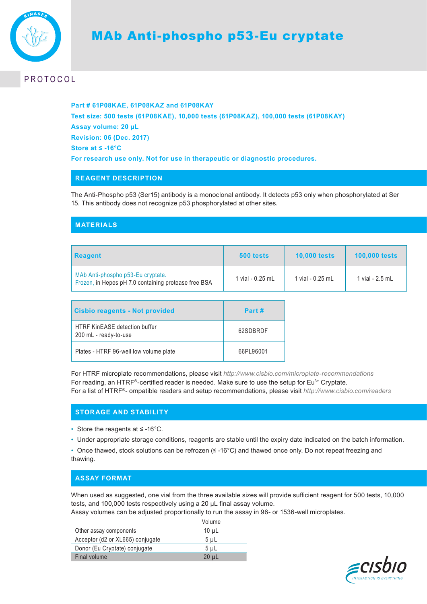

# **PROTOCOL**

**Part # 61P08KAE, 61P08KAZ and 61P08KAY Test size: 500 tests (61P08KAE), 10,000 tests (61P08KAZ), 100,000 tests (61P08KAY) Assay volume: 20 µL Revision: 06 (Dec. 2017) Store at ≤ -16°C For research use only. Not for use in therapeutic or diagnostic procedures.**

## **REAGENT DESCRIPTION**

The Anti-Phospho p53 (Ser15) antibody is a monoclonal antibody. It detects p53 only when phosphorylated at Ser 15. This antibody does not recognize p53 phosphorylated at other sites.

## **MATERIALS**

| <b>Reagent</b>                                                                            | 500 tests        | <b>10,000 tests</b> | <b>100.000 tests</b> |
|-------------------------------------------------------------------------------------------|------------------|---------------------|----------------------|
| MAb Anti-phospho p53-Eu cryptate.<br>Frozen, in Hepes pH 7.0 containing protease free BSA | 1 vial - 0.25 mL | 1 vial - 0.25 mL    | 1 vial - 2.5 mL      |

| <b>Cisbio reagents - Not provided</b>                         | Part #    |
|---------------------------------------------------------------|-----------|
| <b>HTRF KinEASE detection buffer</b><br>200 mL - ready-to-use | 62SDBRDF  |
| Plates - HTRF 96-well low volume plate                        | 66PL96001 |

For HTRF microplate recommendations, please visit *http://www.cisbio.com/microplate-recommendations* For reading, an HTRF®-certified reader is needed. Make sure to use the setup for Eu<sup>3+</sup> Cryptate. For a list of HTRF®- ompatible readers and setup recommendations, please visit *http://www.cisbio.com/readers* 

## **STORAGE AND STABILITY**

- Store the reagents at ≤ -16°C.
- Under appropriate storage conditions, reagents are stable until the expiry date indicated on the batch information.

• Once thawed, stock solutions can be refrozen (≤ -16°C) and thawed once only. Do not repeat freezing and thawing.

### **ASSAY FORMAT**

When used as suggested, one vial from the three available sizes will provide sufficient reagent for 500 tests, 10,000 tests, and 100,000 tests respectively using a 20 μL final assay volume.

Assay volumes can be adjusted proportionally to run the assay in 96- or 1536-well microplates.

|                                  | Volume         |
|----------------------------------|----------------|
| Other assay components           | $10 \mu L$     |
| Acceptor (d2 or XL665) conjugate | 5 <sub>µ</sub> |
| Donor (Eu Cryptate) conjugate    | 5 <sub>µ</sub> |
| Final volume                     | $20 \mu L$     |